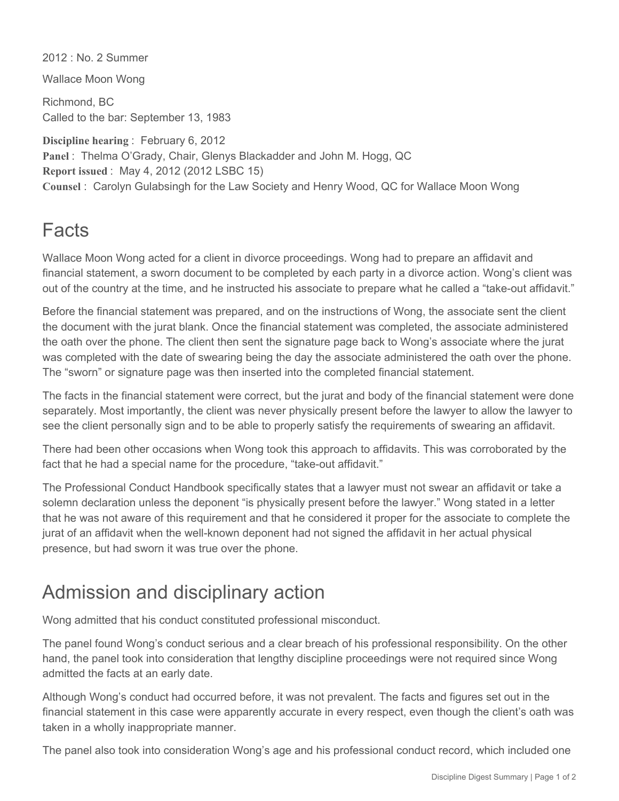2012 : No. 2 Summer

Wallace Moon Wong

Richmond, BC Called to the bar: September 13, 1983

**Discipline hearing** : February 6, 2012 **Panel** : Thelma O'Grady, Chair, Glenys Blackadder and John M. Hogg, QC **Report issued** : May 4, 2012 (2012 LSBC 15) **Counsel** : Carolyn Gulabsingh for the Law Society and Henry Wood, QC for Wallace Moon Wong

## Facts

Wallace Moon Wong acted for a client in divorce proceedings. Wong had to prepare an affidavit and financial statement, a sworn document to be completed by each party in a divorce action. Wong's client was out of the country at the time, and he instructed his associate to prepare what he called a "take-out affidavit."

Before the financial statement was prepared, and on the instructions of Wong, the associate sent the client the document with the jurat blank. Once the financial statement was completed, the associate administered the oath over the phone. The client then sent the signature page back to Wong's associate where the jurat was completed with the date of swearing being the day the associate administered the oath over the phone. The "sworn" or signature page was then inserted into the completed financial statement.

The facts in the financial statement were correct, but the jurat and body of the financial statement were done separately. Most importantly, the client was never physically present before the lawyer to allow the lawyer to see the client personally sign and to be able to properly satisfy the requirements of swearing an affidavit.

There had been other occasions when Wong took this approach to affidavits. This was corroborated by the fact that he had a special name for the procedure, "take-out affidavit."

The Professional Conduct Handbook specifically states that a lawyer must not swear an affidavit or take a solemn declaration unless the deponent "is physically present before the lawyer." Wong stated in a letter that he was not aware of this requirement and that he considered it proper for the associate to complete the jurat of an affidavit when the well-known deponent had not signed the affidavit in her actual physical presence, but had sworn it was true over the phone.

## Admission and disciplinary action

Wong admitted that his conduct constituted professional misconduct.

The panel found Wong's conduct serious and a clear breach of his professional responsibility. On the other hand, the panel took into consideration that lengthy discipline proceedings were not required since Wong admitted the facts at an early date.

Although Wong's conduct had occurred before, it was not prevalent. The facts and figures set out in the financial statement in this case were apparently accurate in every respect, even though the client's oath was taken in a wholly inappropriate manner.

The panel also took into consideration Wong's age and his professional conduct record, which included one